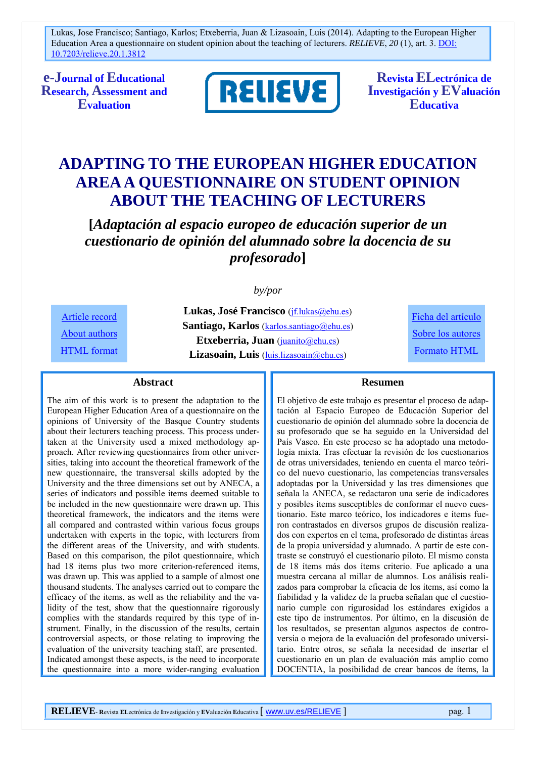**e-Journal of Educational Research, Assessment and Evaluation**



**Revista ELectrónica de Investigación y EValuación Educativa**

# **ADAPTING TO THE EUROPEAN HIGHER EDUCATION AREA A QUESTIONNAIRE ON STUDENT OPINION ABOUT THE TEACHING OF LECTURERS**

**[***Adaptación al espacio europeo de educación superior de un cuestionario de opinión del alumnado sobre la docencia de su profesorado***]**

*by/por* 

Article record About authors HTML format

**Lukas, José Francisco** (jf.lukas@ehu.es) Santiago, Karlos (karlos.santiago@ehu.es) **Etxeberria, Juan** (juanito@ehu.es) Lizasoain, Luis (luis.lizasoain@ehu.es)

Ficha del artículo Sobre los autores Formato HTML

#### **Abstract**

The aim of this work is to present the adaptation to the European Higher Education Area of a questionnaire on the opinions of University of the Basque Country students about their lecturers teaching process. This process undertaken at the University used a mixed methodology approach. After reviewing questionnaires from other universities, taking into account the theoretical framework of the new questionnaire, the transversal skills adopted by the University and the three dimensions set out by ANECA, a series of indicators and possible items deemed suitable to be included in the new questionnaire were drawn up. This theoretical framework, the indicators and the items were all compared and contrasted within various focus groups undertaken with experts in the topic, with lecturers from the different areas of the University, and with students. Based on this comparison, the pilot questionnaire, which had 18 items plus two more criterion-referenced items, was drawn up. This was applied to a sample of almost one thousand students. The analyses carried out to compare the efficacy of the items, as well as the reliability and the validity of the test, show that the questionnaire rigorously complies with the standards required by this type of instrument. Finally, in the discussion of the results, certain controversial aspects, or those relating to improving the evaluation of the university teaching staff, are presented. Indicated amongst these aspects, is the need to incorporate the questionnaire into a more wider-ranging evaluation

#### **Resumen**

El objetivo de este trabajo es presentar el proceso de adaptación al Espacio Europeo de Educación Superior del cuestionario de opinión del alumnado sobre la docencia de su profesorado que se ha seguido en la Universidad del País Vasco. En este proceso se ha adoptado una metodología mixta. Tras efectuar la revisión de los cuestionarios de otras universidades, teniendo en cuenta el marco teórico del nuevo cuestionario, las competencias transversales adoptadas por la Universidad y las tres dimensiones que señala la ANECA, se redactaron una serie de indicadores y posibles ítems susceptibles de conformar el nuevo cuestionario. Este marco teórico, los indicadores e ítems fueron contrastados en diversos grupos de discusión realizados con expertos en el tema, profesorado de distintas áreas de la propia universidad y alumnado. A partir de este contraste se construyó el cuestionario piloto. El mismo consta de 18 ítems más dos ítems criterio. Fue aplicado a una muestra cercana al millar de alumnos. Los análisis realizados para comprobar la eficacia de los ítems, así como la fiabilidad y la validez de la prueba señalan que el cuestionario cumple con rigurosidad los estándares exigidos a este tipo de instrumentos. Por último, en la discusión de los resultados, se presentan algunos aspectos de controversia o mejora de la evaluación del profesorado universitario. Entre otros, se señala la necesidad de insertar el cuestionario en un plan de evaluación más amplio como DOCENTIA, la posibilidad de crear bancos de ítems, la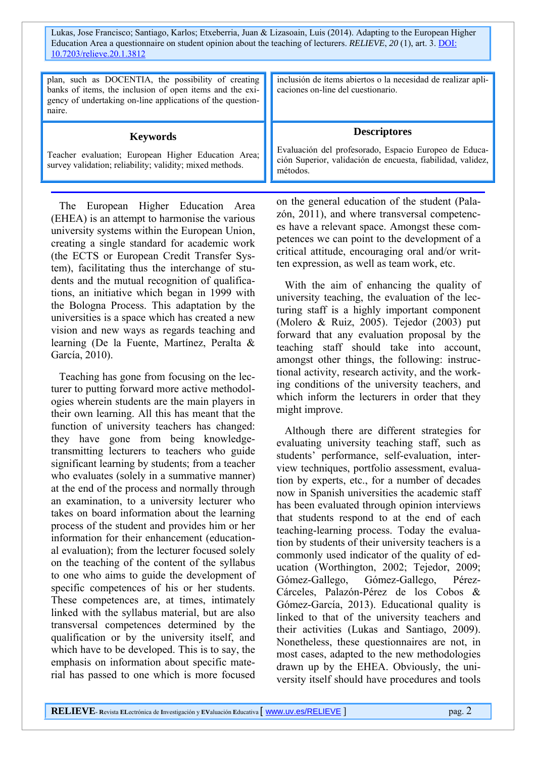| plan, such as DOCENTIA, the possibility of creating<br>banks of items, the inclusion of open items and the exi-<br>gency of undertaking on-line applications of the question-<br>naire. | inclusión de ítems abiertos o la necesidad de realizar apli-<br>caciones on-line del cuestionario.                                                      |
|-----------------------------------------------------------------------------------------------------------------------------------------------------------------------------------------|---------------------------------------------------------------------------------------------------------------------------------------------------------|
| <b>Keywords</b><br>Teacher evaluation; European Higher Education Area;<br>survey validation; reliability; validity; mixed methods.                                                      | <b>Descriptores</b><br>Evaluación del profesorado, Espacio Europeo de Educa-<br>ción Superior, validación de encuesta, fiabilidad, validez,<br>métodos. |

The European Higher Education Area (EHEA) is an attempt to harmonise the various university systems within the European Union, creating a single standard for academic work (the ECTS or European Credit Transfer System), facilitating thus the interchange of students and the mutual recognition of qualifications, an initiative which began in 1999 with the Bologna Process. This adaptation by the universities is a space which has created a new vision and new ways as regards teaching and learning (De la Fuente, Martínez, Peralta & García, 2010).

Teaching has gone from focusing on the lecturer to putting forward more active methodologies wherein students are the main players in their own learning. All this has meant that the function of university teachers has changed: they have gone from being knowledgetransmitting lecturers to teachers who guide significant learning by students; from a teacher who evaluates (solely in a summative manner) at the end of the process and normally through an examination, to a university lecturer who takes on board information about the learning process of the student and provides him or her information for their enhancement (educational evaluation); from the lecturer focused solely on the teaching of the content of the syllabus to one who aims to guide the development of specific competences of his or her students. These competences are, at times, intimately linked with the syllabus material, but are also transversal competences determined by the qualification or by the university itself, and which have to be developed. This is to say, the emphasis on information about specific material has passed to one which is more focused

on the general education of the student (Palazón, 2011), and where transversal competences have a relevant space. Amongst these competences we can point to the development of a critical attitude, encouraging oral and/or written expression, as well as team work, etc.

With the aim of enhancing the quality of university teaching, the evaluation of the lecturing staff is a highly important component (Molero & Ruiz, 2005). Tejedor (2003) put forward that any evaluation proposal by the teaching staff should take into account, amongst other things, the following: instructional activity, research activity, and the working conditions of the university teachers, and which inform the lecturers in order that they might improve.

Although there are different strategies for evaluating university teaching staff, such as students' performance, self-evaluation, interview techniques, portfolio assessment, evaluation by experts, etc., for a number of decades now in Spanish universities the academic staff has been evaluated through opinion interviews that students respond to at the end of each teaching-learning process. Today the evaluation by students of their university teachers is a commonly used indicator of the quality of education (Worthington, 2002; Tejedor, 2009; Gómez-Gallego, Gómez-Gallego, Pérez-Cárceles, Palazón-Pérez de los Cobos & Gómez-García, 2013). Educational quality is linked to that of the university teachers and their activities (Lukas and Santiago, 2009). Nonetheless, these questionnaires are not, in most cases, adapted to the new methodologies drawn up by the EHEA. Obviously, the university itself should have procedures and tools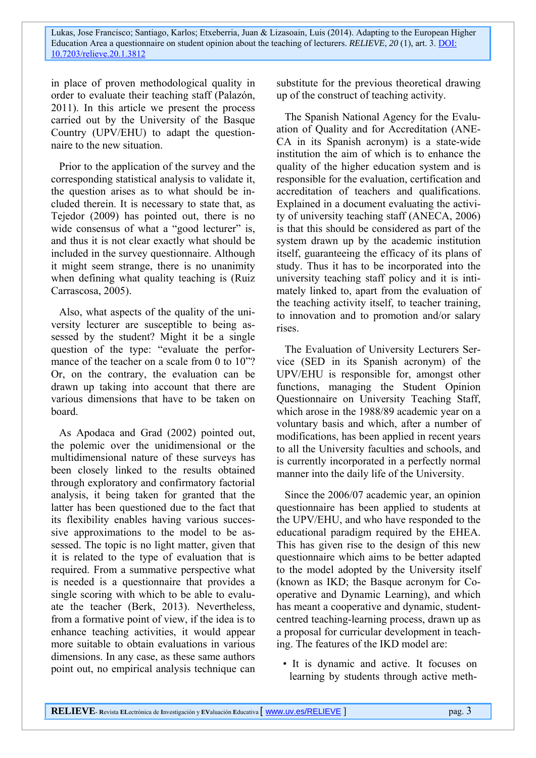in place of proven methodological quality in order to evaluate their teaching staff (Palazón, 2011). In this article we present the process carried out by the University of the Basque Country (UPV/EHU) to adapt the questionnaire to the new situation.

Prior to the application of the survey and the corresponding statistical analysis to validate it, the question arises as to what should be included therein. It is necessary to state that, as Tejedor (2009) has pointed out, there is no wide consensus of what a "good lecturer" is, and thus it is not clear exactly what should be included in the survey questionnaire. Although it might seem strange, there is no unanimity when defining what quality teaching is (Ruiz Carrascosa, 2005).

Also, what aspects of the quality of the university lecturer are susceptible to being assessed by the student? Might it be a single question of the type: "evaluate the performance of the teacher on a scale from 0 to 10<sup>"?</sup> Or, on the contrary, the evaluation can be drawn up taking into account that there are various dimensions that have to be taken on board.

As Apodaca and Grad (2002) pointed out, the polemic over the unidimensional or the multidimensional nature of these surveys has been closely linked to the results obtained through exploratory and confirmatory factorial analysis, it being taken for granted that the latter has been questioned due to the fact that its flexibility enables having various successive approximations to the model to be assessed. The topic is no light matter, given that it is related to the type of evaluation that is required. From a summative perspective what is needed is a questionnaire that provides a single scoring with which to be able to evaluate the teacher (Berk, 2013). Nevertheless, from a formative point of view, if the idea is to enhance teaching activities, it would appear more suitable to obtain evaluations in various dimensions. In any case, as these same authors point out, no empirical analysis technique can substitute for the previous theoretical drawing up of the construct of teaching activity.

The Spanish National Agency for the Evaluation of Quality and for Accreditation (ANE-CA in its Spanish acronym) is a state-wide institution the aim of which is to enhance the quality of the higher education system and is responsible for the evaluation, certification and accreditation of teachers and qualifications. Explained in a document evaluating the activity of university teaching staff (ANECA, 2006) is that this should be considered as part of the system drawn up by the academic institution itself, guaranteeing the efficacy of its plans of study. Thus it has to be incorporated into the university teaching staff policy and it is intimately linked to, apart from the evaluation of the teaching activity itself, to teacher training, to innovation and to promotion and/or salary rises.

The Evaluation of University Lecturers Service (SED in its Spanish acronym) of the UPV/EHU is responsible for, amongst other functions, managing the Student Opinion Questionnaire on University Teaching Staff, which arose in the 1988/89 academic year on a voluntary basis and which, after a number of modifications, has been applied in recent years to all the University faculties and schools, and is currently incorporated in a perfectly normal manner into the daily life of the University.

Since the 2006/07 academic year, an opinion questionnaire has been applied to students at the UPV/EHU, and who have responded to the educational paradigm required by the EHEA. This has given rise to the design of this new questionnaire which aims to be better adapted to the model adopted by the University itself (known as IKD; the Basque acronym for Cooperative and Dynamic Learning), and which has meant a cooperative and dynamic, studentcentred teaching-learning process, drawn up as a proposal for curricular development in teaching. The features of the IKD model are:

• It is dynamic and active. It focuses on learning by students through active meth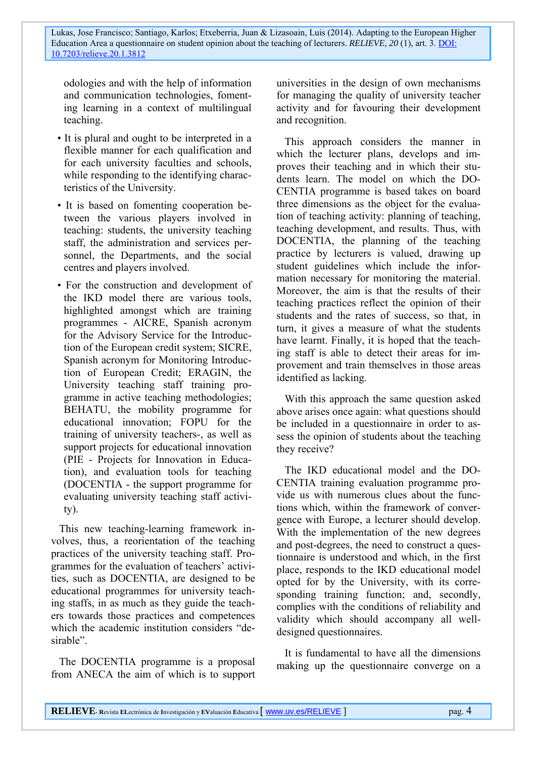odologies and with the help of information and communication technologies, fomenting learning in a context of multilingual teaching.

- It is plural and ought to be interpreted in a flexible manner for each qualification and for each university faculties and schools, while responding to the identifying characteristics of the University.
- It is based on fomenting cooperation between the various players involved in teaching: students, the university teaching staff, the administration and services personnel, the Departments, and the social centres and players involved.
- For the construction and development of the IKD model there are various tools, highlighted amongst which are training programmes - AICRE, Spanish acronym for the Advisory Service for the Introduction of the European credit system; SICRE, Spanish acronym for Monitoring Introduction of European Credit; ERAGIN, the University teaching staff training programme in active teaching methodologies; BEHATU, the mobility programme for educational innovation; FOPU for the training of university teachers-, as well as support projects for educational innovation (PIE - Projects for Innovation in Education), and evaluation tools for teaching (DOCENTIA - the support programme for evaluating university teaching staff activity).

This new teaching-learning framework involves, thus, a reorientation of the teaching practices of the university teaching staff. Programmes for the evaluation of teachers' activities, such as DOCENTIA, are designed to be educational programmes for university teaching staffs, in as much as they guide the teachers towards those practices and competences which the academic institution considers "desirable".

The DOCENTIA programme is a proposal from ANECA the aim of which is to support universities in the design of own mechanisms for managing the quality of university teacher activity and for favouring their development and recognition.

This approach considers the manner in which the lecturer plans, develops and improves their teaching and in which their students learn. The model on which the DO-CENTIA programme is based takes on board three dimensions as the object for the evaluation of teaching activity: planning of teaching, teaching development, and results. Thus, with DOCENTIA, the planning of the teaching practice by lecturers is valued, drawing up student guidelines which include the information necessary for monitoring the material. Moreover, the aim is that the results of their teaching practices reflect the opinion of their students and the rates of success, so that, in turn, it gives a measure of what the students have learnt. Finally, it is hoped that the teaching staff is able to detect their areas for improvement and train themselves in those areas identified as lacking.

With this approach the same question asked above arises once again: what questions should be included in a questionnaire in order to assess the opinion of students about the teaching they receive?

The IKD educational model and the DO-CENTIA training evaluation programme provide us with numerous clues about the functions which, within the framework of convergence with Europe, a lecturer should develop. With the implementation of the new degrees and post-degrees, the need to construct a questionnaire is understood and which, in the first place, responds to the IKD educational model opted for by the University, with its corresponding training function; and, secondly, complies with the conditions of reliability and validity which should accompany all welldesigned questionnaires.

It is fundamental to have all the dimensions making up the questionnaire converge on a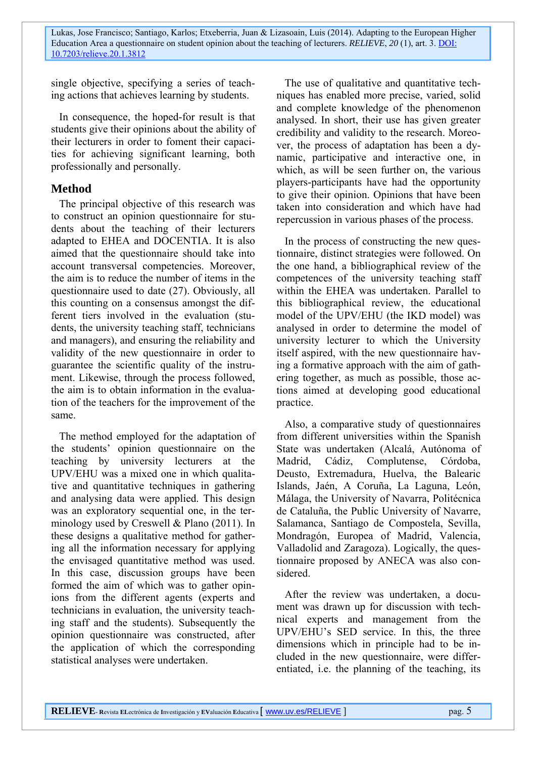single objective, specifying a series of teaching actions that achieves learning by students.

In consequence, the hoped-for result is that students give their opinions about the ability of their lecturers in order to foment their capacities for achieving significant learning, both professionally and personally.

## **Method**

The principal objective of this research was to construct an opinion questionnaire for students about the teaching of their lecturers adapted to EHEA and DOCENTIA. It is also aimed that the questionnaire should take into account transversal competencies. Moreover, the aim is to reduce the number of items in the questionnaire used to date (27). Obviously, all this counting on a consensus amongst the different tiers involved in the evaluation (students, the university teaching staff, technicians and managers), and ensuring the reliability and validity of the new questionnaire in order to guarantee the scientific quality of the instrument. Likewise, through the process followed, the aim is to obtain information in the evaluation of the teachers for the improvement of the same.

The method employed for the adaptation of the students' opinion questionnaire on the teaching by university lecturers at the UPV/EHU was a mixed one in which qualitative and quantitative techniques in gathering and analysing data were applied. This design was an exploratory sequential one, in the terminology used by Creswell & Plano (2011). In these designs a qualitative method for gathering all the information necessary for applying the envisaged quantitative method was used. In this case, discussion groups have been formed the aim of which was to gather opinions from the different agents (experts and technicians in evaluation, the university teaching staff and the students). Subsequently the opinion questionnaire was constructed, after the application of which the corresponding statistical analyses were undertaken.

The use of qualitative and quantitative techniques has enabled more precise, varied, solid and complete knowledge of the phenomenon analysed. In short, their use has given greater credibility and validity to the research. Moreover, the process of adaptation has been a dynamic, participative and interactive one, in which, as will be seen further on, the various players-participants have had the opportunity to give their opinion. Opinions that have been taken into consideration and which have had repercussion in various phases of the process.

In the process of constructing the new questionnaire, distinct strategies were followed. On the one hand, a bibliographical review of the competences of the university teaching staff within the EHEA was undertaken. Parallel to this bibliographical review, the educational model of the UPV/EHU (the IKD model) was analysed in order to determine the model of university lecturer to which the University itself aspired, with the new questionnaire having a formative approach with the aim of gathering together, as much as possible, those actions aimed at developing good educational practice.

Also, a comparative study of questionnaires from different universities within the Spanish State was undertaken (Alcalá, Autónoma of Madrid, Cádiz, Complutense, Córdoba, Deusto, Extremadura, Huelva, the Balearic Islands, Jaén, A Coruña, La Laguna, León, Málaga, the University of Navarra, Politécnica de Cataluña, the Public University of Navarre, Salamanca, Santiago de Compostela, Sevilla, Mondragón, Europea of Madrid, Valencia, Valladolid and Zaragoza). Logically, the questionnaire proposed by ANECA was also considered.

After the review was undertaken, a document was drawn up for discussion with technical experts and management from the UPV/EHU's SED service. In this, the three dimensions which in principle had to be included in the new questionnaire, were differentiated, i.e. the planning of the teaching, its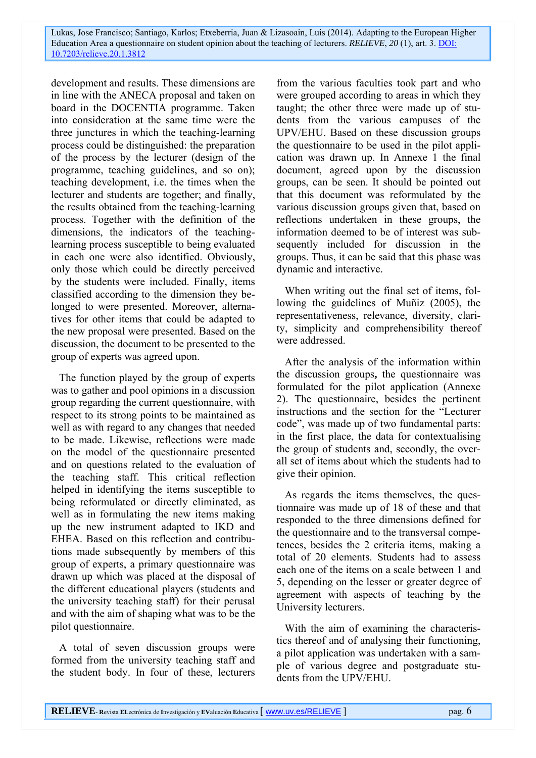development and results. These dimensions are in line with the ANECA proposal and taken on board in the DOCENTIA programme. Taken into consideration at the same time were the three junctures in which the teaching-learning process could be distinguished: the preparation of the process by the lecturer (design of the programme, teaching guidelines, and so on); teaching development, i.e. the times when the lecturer and students are together; and finally, the results obtained from the teaching-learning process. Together with the definition of the dimensions, the indicators of the teachinglearning process susceptible to being evaluated in each one were also identified. Obviously, only those which could be directly perceived by the students were included. Finally, items classified according to the dimension they belonged to were presented. Moreover, alternatives for other items that could be adapted to the new proposal were presented. Based on the discussion, the document to be presented to the group of experts was agreed upon.

The function played by the group of experts was to gather and pool opinions in a discussion group regarding the current questionnaire, with respect to its strong points to be maintained as well as with regard to any changes that needed to be made. Likewise, reflections were made on the model of the questionnaire presented and on questions related to the evaluation of the teaching staff. This critical reflection helped in identifying the items susceptible to being reformulated or directly eliminated, as well as in formulating the new items making up the new instrument adapted to IKD and EHEA. Based on this reflection and contributions made subsequently by members of this group of experts, a primary questionnaire was drawn up which was placed at the disposal of the different educational players (students and the university teaching staff) for their perusal and with the aim of shaping what was to be the pilot questionnaire.

A total of seven discussion groups were formed from the university teaching staff and the student body. In four of these, lecturers

from the various faculties took part and who were grouped according to areas in which they taught; the other three were made up of students from the various campuses of the UPV/EHU. Based on these discussion groups the questionnaire to be used in the pilot application was drawn up. In Annexe 1 the final document, agreed upon by the discussion groups, can be seen. It should be pointed out that this document was reformulated by the various discussion groups given that, based on reflections undertaken in these groups, the information deemed to be of interest was subsequently included for discussion in the groups. Thus, it can be said that this phase was dynamic and interactive.

When writing out the final set of items, following the guidelines of Muñiz (2005), the representativeness, relevance, diversity, clarity, simplicity and comprehensibility thereof were addressed.

After the analysis of the information within the discussion groups**,** the questionnaire was formulated for the pilot application (Annexe 2). The questionnaire, besides the pertinent instructions and the section for the "Lecturer code", was made up of two fundamental parts: in the first place, the data for contextualising the group of students and, secondly, the overall set of items about which the students had to give their opinion.

As regards the items themselves, the questionnaire was made up of 18 of these and that responded to the three dimensions defined for the questionnaire and to the transversal competences, besides the 2 criteria items, making a total of 20 elements. Students had to assess each one of the items on a scale between 1 and 5, depending on the lesser or greater degree of agreement with aspects of teaching by the University lecturers.

With the aim of examining the characteristics thereof and of analysing their functioning, a pilot application was undertaken with a sample of various degree and postgraduate students from the UPV/EHU.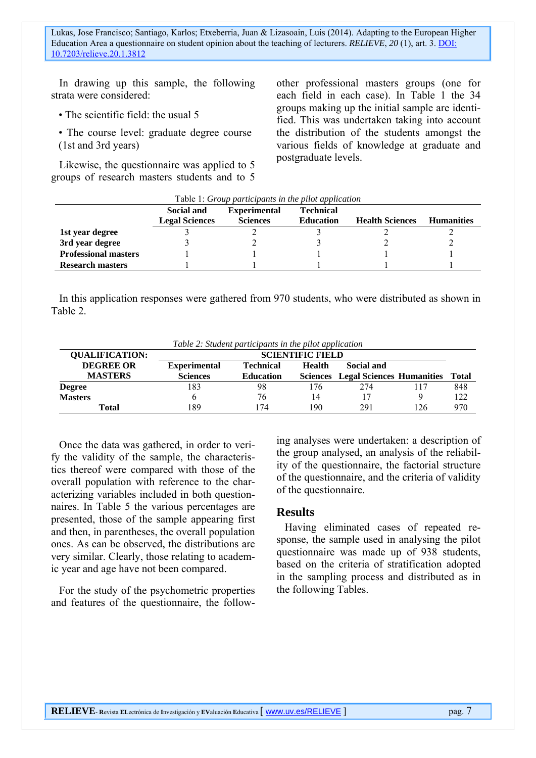In drawing up this sample, the following strata were considered:

• The scientific field: the usual 5

• The course level: graduate degree course (1st and 3rd years)

Likewise, the questionnaire was applied to 5 groups of research masters students and to 5 other professional masters groups (one for each field in each case). In Table 1 the 34 groups making up the initial sample are identified. This was undertaken taking into account the distribution of the students amongst the various fields of knowledge at graduate and postgraduate levels.

| Table 1: Group participants in the pilot application                                                                                                                 |  |  |  |  |  |
|----------------------------------------------------------------------------------------------------------------------------------------------------------------------|--|--|--|--|--|
| Social and<br><b>Experimental</b><br><b>Technical</b><br><b>Sciences</b><br><b>Legal Sciences</b><br><b>Education</b><br><b>Health Sciences</b><br><b>Humanities</b> |  |  |  |  |  |
| 1st year degree                                                                                                                                                      |  |  |  |  |  |
| 3rd year degree                                                                                                                                                      |  |  |  |  |  |
| <b>Professional masters</b>                                                                                                                                          |  |  |  |  |  |
| <b>Research masters</b>                                                                                                                                              |  |  |  |  |  |

In this application responses were gathered from 970 students, who were distributed as shown in Table 2.

| Table 2. Sharent participants in the plot application |                         |                  |               |                                           |     |              |
|-------------------------------------------------------|-------------------------|------------------|---------------|-------------------------------------------|-----|--------------|
| <b>QUALIFICATION:</b>                                 | <b>SCIENTIFIC FIELD</b> |                  |               |                                           |     |              |
| <b>DEGREE OR</b>                                      | <b>Experimental</b>     | <b>Technical</b> | <b>Health</b> | Social and                                |     |              |
| <b>MASTERS</b>                                        | <b>Sciences</b>         | <b>Education</b> |               | <b>Sciences</b> Legal Sciences Humanities |     | <b>Total</b> |
| <b>Degree</b>                                         | 183                     | 98               | '76           | 274                                       |     | 848          |
| <b>Masters</b>                                        |                         | 76               | 14            |                                           |     | 122          |
| Total                                                 | 189                     | 74               | 190           | 291                                       | 126 | 970          |

*Table 2: Student participants in the pilot application* 

Once the data was gathered, in order to verify the validity of the sample, the characteristics thereof were compared with those of the overall population with reference to the characterizing variables included in both questionnaires. In Table 5 the various percentages are presented, those of the sample appearing first and then, in parentheses, the overall population ones. As can be observed, the distributions are very similar. Clearly, those relating to academic year and age have not been compared.

For the study of the psychometric properties and features of the questionnaire, the follow-

ing analyses were undertaken: a description of the group analysed, an analysis of the reliability of the questionnaire, the factorial structure of the questionnaire, and the criteria of validity of the questionnaire.

### **Results**

Having eliminated cases of repeated response, the sample used in analysing the pilot questionnaire was made up of 938 students, based on the criteria of stratification adopted in the sampling process and distributed as in the following Tables.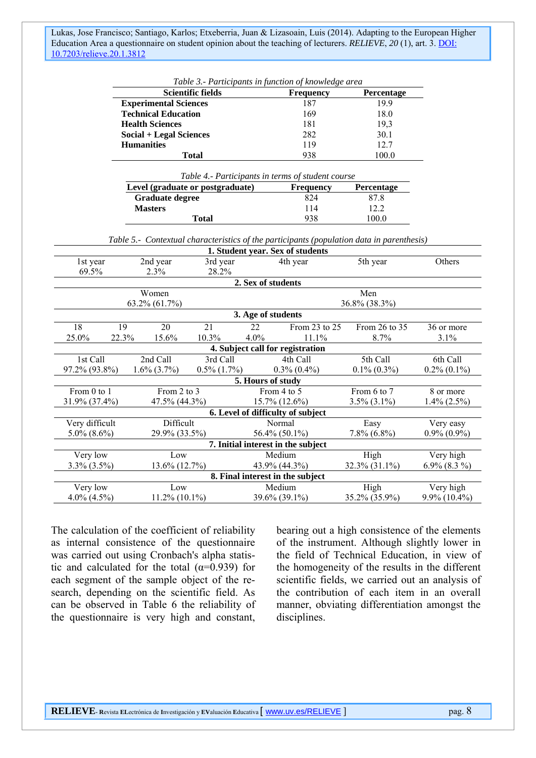|                                                                                           |                                                   |                                  | <b>Scientific fields</b> |                    | <b>Frequency</b>                   | Percentage        |                   |
|-------------------------------------------------------------------------------------------|---------------------------------------------------|----------------------------------|--------------------------|--------------------|------------------------------------|-------------------|-------------------|
|                                                                                           |                                                   | <b>Experimental Sciences</b>     |                          |                    | 187                                | 19.9              |                   |
|                                                                                           |                                                   | <b>Technical Education</b>       |                          |                    | 169                                | 18.0              |                   |
|                                                                                           |                                                   | <b>Health Sciences</b>           |                          |                    | 181                                | 19,3              |                   |
|                                                                                           | <b>Social + Legal Sciences</b>                    |                                  |                          | 282                | 30.1                               |                   |                   |
|                                                                                           |                                                   | <b>Humanities</b>                |                          |                    | 119                                | 12.7              |                   |
|                                                                                           |                                                   |                                  | <b>Total</b>             |                    | 938                                | 100.0             |                   |
|                                                                                           | Table 4.- Participants in terms of student course |                                  |                          |                    |                                    |                   |                   |
|                                                                                           |                                                   | Level (graduate or postgraduate) |                          |                    | Frequency                          | Percentage        |                   |
|                                                                                           |                                                   | <b>Graduate degree</b>           |                          |                    | 824                                | 87.8              |                   |
|                                                                                           |                                                   | <b>Masters</b>                   |                          |                    | 114                                | 12.2              |                   |
|                                                                                           |                                                   |                                  | <b>Total</b>             |                    | 938                                | 100.0             |                   |
|                                                                                           |                                                   |                                  |                          |                    |                                    |                   |                   |
| Table 5.- Contextual characteristics of the participants (population data in parenthesis) |                                                   |                                  |                          |                    |                                    |                   |                   |
|                                                                                           | 1. Student year. Sex of students                  |                                  |                          |                    |                                    |                   |                   |
| 1st year                                                                                  |                                                   | 2nd year                         | 3rd year                 |                    | 4th year                           | 5th year          | Others            |
| 69.5%                                                                                     |                                                   | 2.3%                             | 28.2%                    |                    |                                    |                   |                   |
|                                                                                           |                                                   |                                  |                          | 2. Sex of students |                                    |                   |                   |
| Women                                                                                     |                                                   |                                  |                          | Men                |                                    |                   |                   |
|                                                                                           |                                                   | 63.2% (61.7%)                    |                          |                    |                                    | 36.8% (38.3%)     |                   |
|                                                                                           |                                                   |                                  |                          | 3. Age of students |                                    |                   |                   |
| 18                                                                                        | 19                                                | 20                               | 21                       | $\overline{22}$    | From 23 to 25                      | From 26 to 35     | 36 or more        |
| 25.0%                                                                                     | 22.3%                                             | 15.6%                            | 10.3%                    | 4.0%               | 11.1%                              | 8.7%              | 3.1%              |
|                                                                                           |                                                   |                                  |                          |                    | 4. Subject call for registration   |                   |                   |
| 1st Call                                                                                  |                                                   | 2nd Call                         | 3rd Call                 |                    | 4th Call                           | 5th Call          | 6th Call          |
| 97.2% (93.8%)                                                                             |                                                   | $1.6\%$ $(3.7\%)$                | $0.5\%$ $(1.7\%)$        |                    | $0.3\%$ $(0.4\%)$                  | $0.1\%$ $(0.3\%)$ | $0.2\%$ $(0.1\%)$ |
|                                                                                           |                                                   |                                  |                          | 5. Hours of study  |                                    |                   |                   |
| From 0 to 1                                                                               |                                                   | From 2 to 3                      |                          |                    | From 4 to 5                        | From 6 to 7       | 8 or more         |
| 31.9% (37.4%)                                                                             |                                                   | 47.5% (44.3%)                    |                          |                    | 15.7% (12.6%)                      | $3.5\%$ $(3.1\%)$ | $1.4\%$ (2.5%)    |
|                                                                                           |                                                   |                                  |                          |                    | 6. Level of difficulty of subject  |                   |                   |
| Very difficult                                                                            |                                                   | Difficult                        |                          |                    | Normal                             | Easy              | Very easy         |
| $5.0\%$ (8.6%)                                                                            |                                                   | 29.9% (33.5%)                    |                          |                    | 56.4% (50.1%)                      | $7.8\%$ (6.8%)    | $0.9\%$ $(0.9\%)$ |
|                                                                                           |                                                   |                                  |                          |                    | 7. Initial interest in the subject |                   |                   |
| Very low                                                                                  |                                                   | Low                              |                          |                    | Medium                             | High              | Very high         |
| $3.3\%$ $(3.5\%)$                                                                         |                                                   | 13.6% (12.7%)                    |                          |                    | 43.9% (44.3%)                      | 32.3% (31.1%)     | $6.9\%$ $(8.3\%)$ |
|                                                                                           |                                                   |                                  |                          |                    | 8. Final interest in the subject   |                   |                   |
| Very low                                                                                  |                                                   | Low                              |                          |                    | Medium                             | High              | Very high         |
|                                                                                           |                                                   |                                  |                          |                    |                                    |                   |                   |
| $4.0\%$ $(4.5\%)$                                                                         |                                                   | $11.2\%$ (10.1%)                 |                          |                    | 39.6% (39.1%)                      | 35.2% (35.9%)     | $9.9\%$ (10.4%)   |

*Table 3.- Participants in function of knowledge area* 

The calculation of the coefficient of reliability as internal consistence of the questionnaire was carried out using Cronbach's alpha statistic and calculated for the total  $(\alpha=0.939)$  for each segment of the sample object of the research, depending on the scientific field. As can be observed in Table 6 the reliability of the questionnaire is very high and constant,

bearing out a high consistence of the elements of the instrument. Although slightly lower in the field of Technical Education, in view of the homogeneity of the results in the different scientific fields, we carried out an analysis of the contribution of each item in an overall manner, obviating differentiation amongst the disciplines.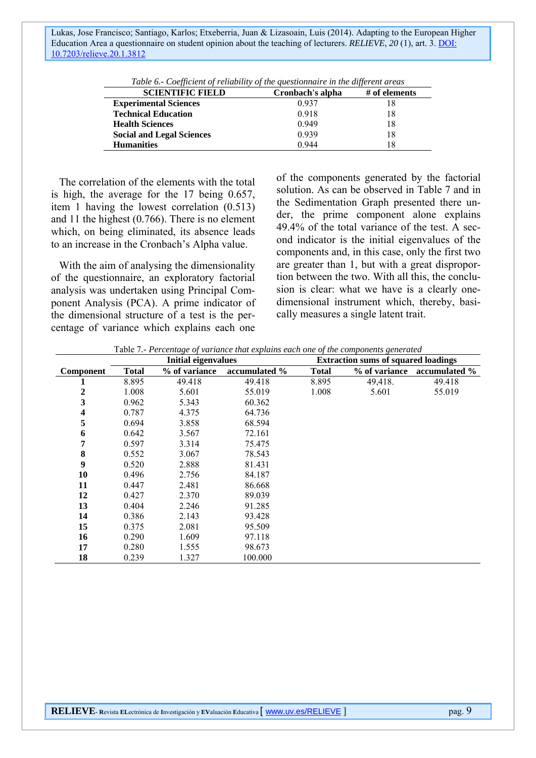| 0.937<br><b>Experimental Sciences</b><br><b>Technical Education</b><br>0.918<br>18<br>0.949<br><b>Health Sciences</b><br>18<br>0.939<br>18<br><b>Social and Legal Sciences</b><br><b>Humanities</b><br>0.944<br>18 | <b>SCIENTIFIC FIELD</b> | Cronbach's alpha | $#$ of elements |
|--------------------------------------------------------------------------------------------------------------------------------------------------------------------------------------------------------------------|-------------------------|------------------|-----------------|
|                                                                                                                                                                                                                    |                         |                  |                 |
|                                                                                                                                                                                                                    |                         |                  |                 |
|                                                                                                                                                                                                                    |                         |                  |                 |
|                                                                                                                                                                                                                    |                         |                  |                 |
|                                                                                                                                                                                                                    |                         |                  |                 |

*Table 6.- Coefficient of reliability of the questionnaire in the different areas* 

The correlation of the elements with the total is high, the average for the 17 being 0.657, item 1 having the lowest correlation (0.513) and 11 the highest (0.766). There is no element which, on being eliminated, its absence leads to an increase in the Cronbach's Alpha value.

With the aim of analysing the dimensionality of the questionnaire, an exploratory factorial analysis was undertaken using Principal Component Analysis (PCA). A prime indicator of the dimensional structure of a test is the percentage of variance which explains each one

of the components generated by the factorial solution. As can be observed in Table 7 and in the Sedimentation Graph presented there under, the prime component alone explains 49.4% of the total variance of the test. A second indicator is the initial eigenvalues of the components and, in this case, only the first two are greater than 1, but with a great disproportion between the two. With all this, the conclusion is clear: what we have is a clearly onedimensional instrument which, thereby, basically measures a single latent trait.

|                  | <b>Initial eigenvalues</b> |               |               |              | <b>Extraction sums of squared loadings</b> |               |
|------------------|----------------------------|---------------|---------------|--------------|--------------------------------------------|---------------|
| <b>Component</b> | <b>Total</b>               | % of variance | accumulated % | <b>Total</b> | % of variance                              | accumulated % |
|                  | 8.895                      | 49.418        | 49.418        | 8.895        | 49,418.                                    | 49.418        |
| 2                | 1.008                      | 5.601         | 55.019        | 1.008        | 5.601                                      | 55.019        |
| 3                | 0.962                      | 5.343         | 60.362        |              |                                            |               |
| 4                | 0.787                      | 4.375         | 64.736        |              |                                            |               |
| 5                | 0.694                      | 3.858         | 68.594        |              |                                            |               |
| 6                | 0.642                      | 3.567         | 72.161        |              |                                            |               |
| 7                | 0.597                      | 3.314         | 75.475        |              |                                            |               |
| 8                | 0.552                      | 3.067         | 78.543        |              |                                            |               |
| 9                | 0.520                      | 2.888         | 81.431        |              |                                            |               |
| 10               | 0.496                      | 2.756         | 84.187        |              |                                            |               |
| 11               | 0.447                      | 2.481         | 86.668        |              |                                            |               |
| 12               | 0.427                      | 2.370         | 89.039        |              |                                            |               |
| 13               | 0.404                      | 2.246         | 91.285        |              |                                            |               |
| 14               | 0.386                      | 2.143         | 93.428        |              |                                            |               |
| 15               | 0.375                      | 2.081         | 95.509        |              |                                            |               |
| 16               | 0.290                      | 1.609         | 97.118        |              |                                            |               |
| 17               | 0.280                      | 1.555         | 98.673        |              |                                            |               |
| 18               | 0.239                      | 1.327         | 100.000       |              |                                            |               |

Table 7*.- Percentage of variance that explains each one of the components generated*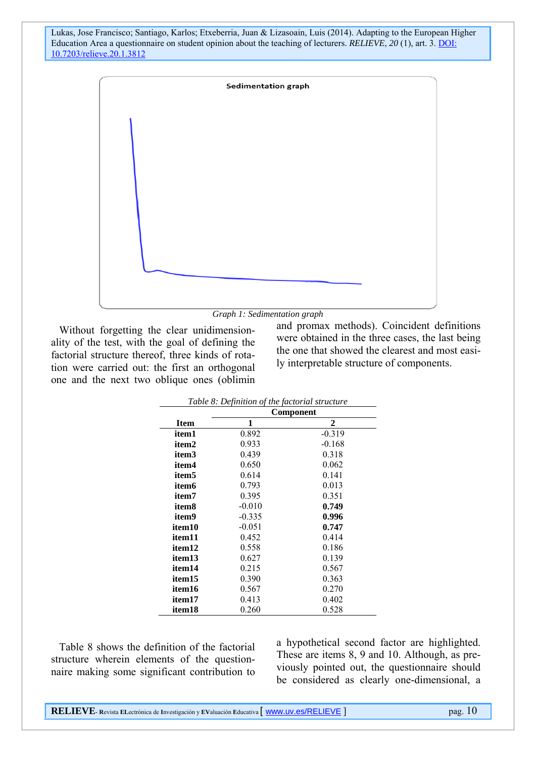



Without forgetting the clear unidimensionality of the test, with the goal of defining the factorial structure thereof, three kinds of rotation were carried out: the first an orthogonal one and the next two oblique ones (oblimin

and promax methods). Coincident definitions were obtained in the three cases, the last being the one that showed the clearest and most easily interpretable structure of components.

| Table 8: Definition of the factorial structure |           |          |  |  |  |
|------------------------------------------------|-----------|----------|--|--|--|
|                                                | Component |          |  |  |  |
| <b>Item</b>                                    | 1         | 2        |  |  |  |
| item1                                          | 0.892     | $-0.319$ |  |  |  |
| item2                                          | 0.933     | $-0.168$ |  |  |  |
| item3                                          | 0.439     | 0.318    |  |  |  |
| item4                                          | 0.650     | 0.062    |  |  |  |
| item5                                          | 0.614     | 0.141    |  |  |  |
| item6                                          | 0.793     | 0.013    |  |  |  |
| item7                                          | 0.395     | 0.351    |  |  |  |
| item8                                          | $-0.010$  | 0.749    |  |  |  |
| item9                                          | $-0.335$  | 0.996    |  |  |  |
| item 10                                        | $-0.051$  | 0.747    |  |  |  |
| item11                                         | 0.452     | 0.414    |  |  |  |
| item 12                                        | 0.558     | 0.186    |  |  |  |
| item13                                         | 0.627     | 0.139    |  |  |  |
| item14                                         | 0.215     | 0.567    |  |  |  |
| item 15                                        | 0.390     | 0.363    |  |  |  |
| item16                                         | 0.567     | 0.270    |  |  |  |
| item <sub>17</sub>                             | 0.413     | 0.402    |  |  |  |
| item18                                         | 0.260     | 0.528    |  |  |  |

Table 8 shows the definition of the factorial structure wherein elements of the questionnaire making some significant contribution to

a hypothetical second factor are highlighted. These are items 8, 9 and 10. Although, as previously pointed out, the questionnaire should be considered as clearly one-dimensional, a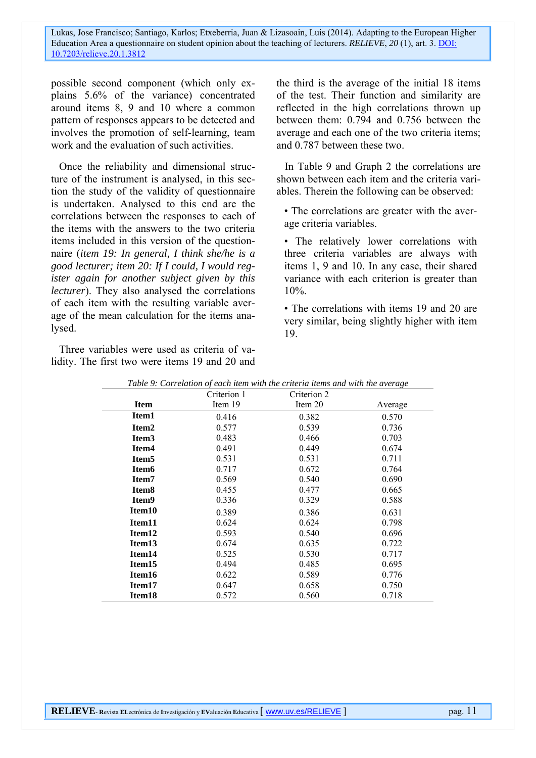possible second component (which only explains 5.6% of the variance) concentrated around items 8, 9 and 10 where a common pattern of responses appears to be detected and involves the promotion of self-learning, team work and the evaluation of such activities.

Once the reliability and dimensional structure of the instrument is analysed, in this section the study of the validity of questionnaire is undertaken. Analysed to this end are the correlations between the responses to each of the items with the answers to the two criteria items included in this version of the questionnaire (*item 19: In general, I think she/he is a good lecturer; item 20: If I could, I would register again for another subject given by this lecturer*). They also analysed the correlations of each item with the resulting variable average of the mean calculation for the items analysed.

Three variables were used as criteria of validity. The first two were items 19 and 20 and

the third is the average of the initial 18 items of the test. Their function and similarity are reflected in the high correlations thrown up between them: 0.794 and 0.756 between the average and each one of the two criteria items; and 0.787 between these two.

In Table 9 and Graph 2 the correlations are shown between each item and the criteria variables. Therein the following can be observed:

• The correlations are greater with the average criteria variables.

• The relatively lower correlations with three criteria variables are always with items 1, 9 and 10. In any case, their shared variance with each criterion is greater than 10%.

• The correlations with items 19 and 20 are very similar, being slightly higher with item 19.

|                    | Criterion 1 | Criterion 2 | o       |
|--------------------|-------------|-------------|---------|
| <b>Item</b>        | Item 19     | Item 20     | Average |
| Item1              | 0.416       | 0.382       | 0.570   |
| Item <sub>2</sub>  | 0.577       | 0.539       | 0.736   |
| Item <sub>3</sub>  | 0.483       | 0.466       | 0.703   |
| Item4              | 0.491       | 0.449       | 0.674   |
| Item <sub>5</sub>  | 0.531       | 0.531       | 0.711   |
| Item <sub>6</sub>  | 0.717       | 0.672       | 0.764   |
| Item <sub>7</sub>  | 0.569       | 0.540       | 0.690   |
| Item <sub>8</sub>  | 0.455       | 0.477       | 0.665   |
| Item <sub>9</sub>  | 0.336       | 0.329       | 0.588   |
| Item <sub>10</sub> | 0.389       | 0.386       | 0.631   |
| Item <sub>11</sub> | 0.624       | 0.624       | 0.798   |
| Item <sub>12</sub> | 0.593       | 0.540       | 0.696   |
| Item <sub>13</sub> | 0.674       | 0.635       | 0.722   |
| Item <sub>14</sub> | 0.525       | 0.530       | 0.717   |
| Item <sub>15</sub> | 0.494       | 0.485       | 0.695   |
| Item <sub>16</sub> | 0.622       | 0.589       | 0.776   |
| Item <sub>17</sub> | 0.647       | 0.658       | 0.750   |
| Item <sub>18</sub> | 0.572       | 0.560       | 0.718   |

*Table 9: Correlation of each item with the criteria items and with the average*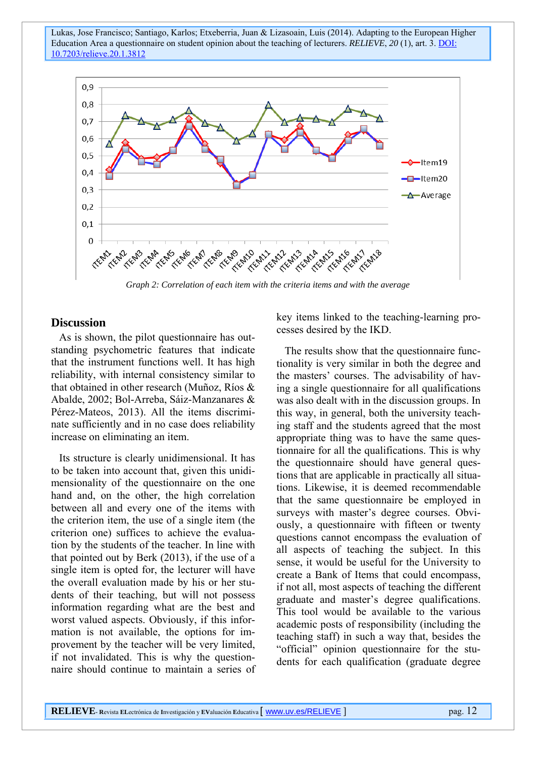

*Graph 2: Correlation of each item with the criteria items and with the average* 

#### **Discussion**

As is shown, the pilot questionnaire has outstanding psychometric features that indicate that the instrument functions well. It has high reliability, with internal consistency similar to that obtained in other research (Muñoz, Ríos & Abalde, 2002; Bol-Arreba, Sáiz-Manzanares & Pérez-Mateos, 2013). All the items discriminate sufficiently and in no case does reliability increase on eliminating an item.

Its structure is clearly unidimensional. It has to be taken into account that, given this unidimensionality of the questionnaire on the one hand and, on the other, the high correlation between all and every one of the items with the criterion item, the use of a single item (the criterion one) suffices to achieve the evaluation by the students of the teacher. In line with that pointed out by Berk (2013), if the use of a single item is opted for, the lecturer will have the overall evaluation made by his or her students of their teaching, but will not possess information regarding what are the best and worst valued aspects. Obviously, if this information is not available, the options for improvement by the teacher will be very limited, if not invalidated. This is why the questionnaire should continue to maintain a series of key items linked to the teaching-learning processes desired by the IKD.

The results show that the questionnaire functionality is very similar in both the degree and the masters' courses. The advisability of having a single questionnaire for all qualifications was also dealt with in the discussion groups. In this way, in general, both the university teaching staff and the students agreed that the most appropriate thing was to have the same questionnaire for all the qualifications. This is why the questionnaire should have general questions that are applicable in practically all situations. Likewise, it is deemed recommendable that the same questionnaire be employed in surveys with master's degree courses. Obviously, a questionnaire with fifteen or twenty questions cannot encompass the evaluation of all aspects of teaching the subject. In this sense, it would be useful for the University to create a Bank of Items that could encompass, if not all, most aspects of teaching the different graduate and master's degree qualifications. This tool would be available to the various academic posts of responsibility (including the teaching staff) in such a way that, besides the "official" opinion questionnaire for the students for each qualification (graduate degree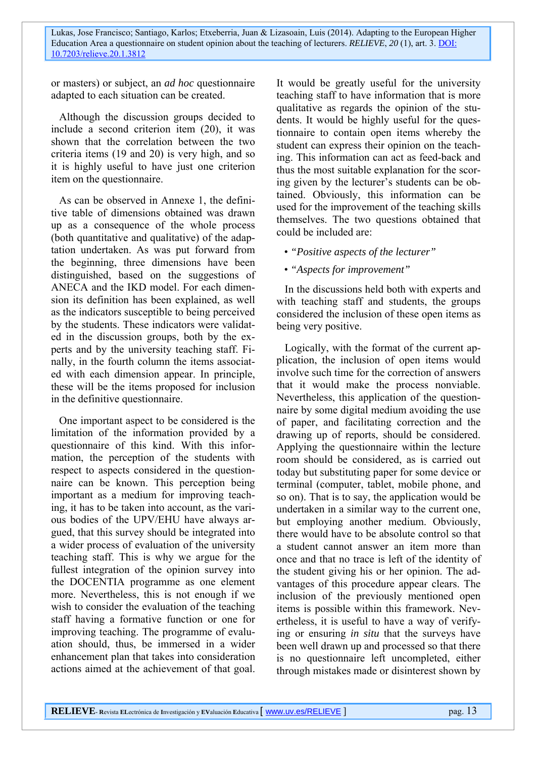or masters) or subject, an *ad hoc* questionnaire adapted to each situation can be created.

Although the discussion groups decided to include a second criterion item (20), it was shown that the correlation between the two criteria items (19 and 20) is very high, and so it is highly useful to have just one criterion item on the questionnaire.

As can be observed in Annexe 1, the definitive table of dimensions obtained was drawn up as a consequence of the whole process (both quantitative and qualitative) of the adaptation undertaken. As was put forward from the beginning, three dimensions have been distinguished, based on the suggestions of ANECA and the IKD model. For each dimension its definition has been explained, as well as the indicators susceptible to being perceived by the students. These indicators were validated in the discussion groups, both by the experts and by the university teaching staff. Finally, in the fourth column the items associated with each dimension appear. In principle, these will be the items proposed for inclusion in the definitive questionnaire.

One important aspect to be considered is the limitation of the information provided by a questionnaire of this kind. With this information, the perception of the students with respect to aspects considered in the questionnaire can be known. This perception being important as a medium for improving teaching, it has to be taken into account, as the various bodies of the UPV/EHU have always argued, that this survey should be integrated into a wider process of evaluation of the university teaching staff. This is why we argue for the fullest integration of the opinion survey into the DOCENTIA programme as one element more. Nevertheless, this is not enough if we wish to consider the evaluation of the teaching staff having a formative function or one for improving teaching. The programme of evaluation should, thus, be immersed in a wider enhancement plan that takes into consideration actions aimed at the achievement of that goal. It would be greatly useful for the university teaching staff to have information that is more qualitative as regards the opinion of the students. It would be highly useful for the questionnaire to contain open items whereby the student can express their opinion on the teaching. This information can act as feed-back and thus the most suitable explanation for the scoring given by the lecturer's students can be obtained. Obviously, this information can be used for the improvement of the teaching skills themselves. The two questions obtained that could be included are:

- *"Positive aspects of the lecturer"*
- *"Aspects for improvement"*

In the discussions held both with experts and with teaching staff and students, the groups considered the inclusion of these open items as being very positive.

Logically, with the format of the current application, the inclusion of open items would involve such time for the correction of answers that it would make the process nonviable. Nevertheless, this application of the questionnaire by some digital medium avoiding the use of paper, and facilitating correction and the drawing up of reports, should be considered. Applying the questionnaire within the lecture room should be considered, as is carried out today but substituting paper for some device or terminal (computer, tablet, mobile phone, and so on). That is to say, the application would be undertaken in a similar way to the current one, but employing another medium. Obviously, there would have to be absolute control so that a student cannot answer an item more than once and that no trace is left of the identity of the student giving his or her opinion. The advantages of this procedure appear clears. The inclusion of the previously mentioned open items is possible within this framework. Nevertheless, it is useful to have a way of verifying or ensuring *in situ* that the surveys have been well drawn up and processed so that there is no questionnaire left uncompleted, either through mistakes made or disinterest shown by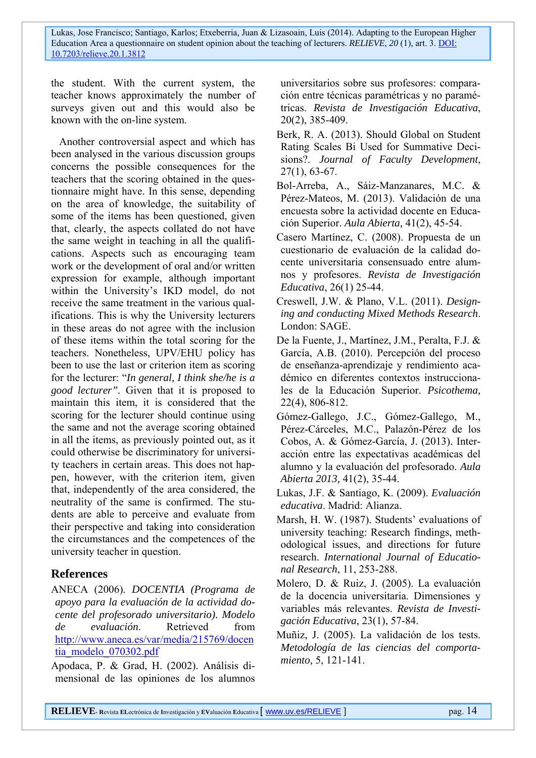the student. With the current system, the teacher knows approximately the number of surveys given out and this would also be known with the on-line system.

Another controversial aspect and which has been analysed in the various discussion groups concerns the possible consequences for the teachers that the scoring obtained in the questionnaire might have. In this sense, depending on the area of knowledge, the suitability of some of the items has been questioned, given that, clearly, the aspects collated do not have the same weight in teaching in all the qualifications. Aspects such as encouraging team work or the development of oral and/or written expression for example, although important within the University's IKD model, do not receive the same treatment in the various qualifications. This is why the University lecturers in these areas do not agree with the inclusion of these items within the total scoring for the teachers. Nonetheless, UPV/EHU policy has been to use the last or criterion item as scoring for the lecturer: "*In general, I think she/he is a good lecturer".* Given that it is proposed to maintain this item, it is considered that the scoring for the lecturer should continue using the same and not the average scoring obtained in all the items, as previously pointed out, as it could otherwise be discriminatory for university teachers in certain areas. This does not happen, however, with the criterion item, given that, independently of the area considered, the neutrality of the same is confirmed. The students are able to perceive and evaluate from their perspective and taking into consideration the circumstances and the competences of the university teacher in question.

### **References**

ANECA (2006). *DOCENTIA (Programa de apoyo para la evaluación de la actividad docente del profesorado universitario). Modelo de evaluación*. Retrieved from http://www.aneca.es/var/media/215769/docen tia\_modelo\_070302.pdf

Apodaca, P. & Grad, H. (2002). Análisis dimensional de las opiniones de los alumnos universitarios sobre sus profesores: comparación entre técnicas paramétricas y no paramétricas. *Revista de Investigación Educativa*, 20(2), 385-409.

- Berk, R. A. (2013). Should Global on Student Rating Scales Bi Used for Summative Decisions?. *Journal of Faculty Development*, 27(1), 63-67.
- Bol-Arreba, A., Sáiz-Manzanares, M.C. & Pérez-Mateos, M. (2013). Validación de una encuesta sobre la actividad docente en Educación Superior. *Aula Abierta,* 41(2), 45-54.
- Casero Martínez, C. (2008). Propuesta de un cuestionario de evaluación de la calidad docente universitaria consensuado entre alumnos y profesores. *Revista de Investigación Educativa*, 26(1) 25-44.
- Creswell, J.W. & Plano, V.L. (2011). *Designing and conducting Mixed Methods Research*. London: SAGE.
- De la Fuente, J., Martínez, J.M., Peralta, F.J. & García, A.B. (2010). Percepción del proceso de enseñanza-aprendizaje y rendimiento académico en diferentes contextos instruccionales de la Educación Superior. *Psicothema,*  22(4), 806-812.
- Gómez-Gallego, J.C., Gómez-Gallego, M., Pérez-Cárceles, M.C., Palazón-Pérez de los Cobos, A. & Gómez-García, J. (2013). Interacción entre las expectativas académicas del alumno y la evaluación del profesorado. *Aula Abierta 2013,* 41(2), 35-44.
- Lukas, J.F. & Santiago, K. (2009). *Evaluación educativa*. Madrid: Alianza.
- Marsh, H. W. (1987). Students' evaluations of university teaching: Research findings, methodological issues, and directions for future research. *International Journal of Educational Research*, 11, 253-288.
- Molero, D. & Ruiz, J. (2005). La evaluación de la docencia universitaria. Dimensiones y variables más relevantes. *Revista de Investigación Educativa,* 23(1), 57-84.
- Muñiz, J. (2005). La validación de los tests. *Metodología de las ciencias del comportamiento,* 5, 121-141.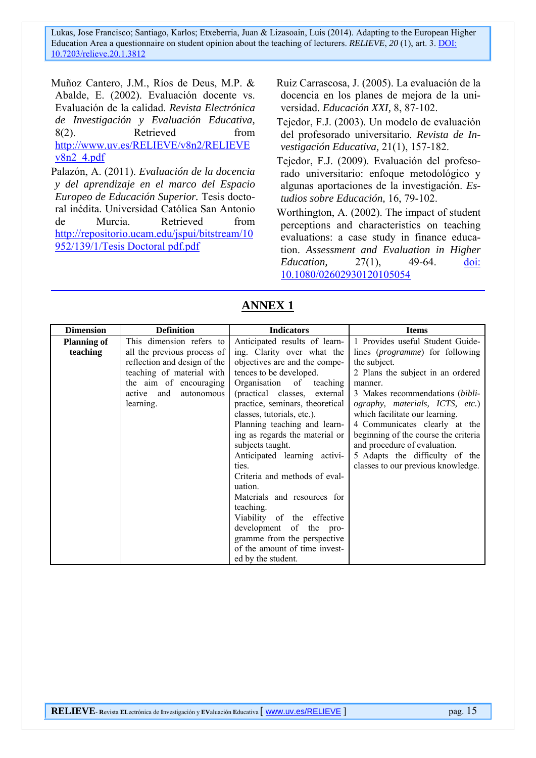Muñoz Cantero, J.M., Ríos de Deus, M.P. & Abalde, E. (2002). Evaluación docente vs. Evaluación de la calidad. *Revista Electrónica de Investigación y Evaluación Educativa,*  8(2). Retrieved from http://www.uv.es/RELIEVE/v8n2/RELIEVE v8n2\_4.pdf

Palazón, A. (2011). *Evaluación de la docencia y del aprendizaje en el marco del Espacio Europeo de Educación Superior.* Tesis doctoral inédita. Universidad Católica San Antonio de Murcia. Retrieved from http://repositorio.ucam.edu/jspui/bitstream/10 952/139/1/Tesis Doctoral pdf.pdf

Ruiz Carrascosa, J. (2005). La evaluación de la docencia en los planes de mejora de la universidad. *Educación XXI,* 8, 87-102.

Tejedor, F.J. (2003). Un modelo de evaluación del profesorado universitario. *Revista de Investigación Educativa,* 21(1), 157-182.

Tejedor, F.J. (2009). Evaluación del profesorado universitario: enfoque metodológico y algunas aportaciones de la investigación. *Estudios sobre Educación,* 16, 79-102.

Worthington, A. (2002). The impact of student perceptions and characteristics on teaching evaluations: a case study in finance education. *Assessment and Evaluation in Higher Education,* 27(1), 49-64. doi: 10.1080/02602930120105054

| <b>Dimension</b>   | <b>Definition</b>            | <b>Indicators</b>               | <b>Items</b>                             |
|--------------------|------------------------------|---------------------------------|------------------------------------------|
| <b>Planning of</b> | This dimension refers to     | Anticipated results of learn-   | 1 Provides useful Student Guide-         |
| teaching           | all the previous process of  | ing. Clarity over what the      | lines ( <i>programme</i> ) for following |
|                    | reflection and design of the | objectives are and the compe-   | the subject.                             |
|                    | teaching of material with    | tences to be developed.         | 2 Plans the subject in an ordered        |
|                    | the aim of encouraging       | Organisation of teaching        | manner.                                  |
|                    | active and<br>autonomous     | (practical classes, external    | 3 Makes recommendations ( <i>bibli</i> - |
|                    | learning.                    | practice, seminars, theoretical | ography, materials, ICTS, etc.)          |
|                    |                              | classes, tutorials, etc.).      | which facilitate our learning.           |
|                    |                              | Planning teaching and learn-    | 4 Communicates clearly at the            |
|                    |                              | ing as regards the material or  | beginning of the course the criteria     |
|                    |                              | subjects taught.                | and procedure of evaluation.             |
|                    |                              | Anticipated learning activi-    | 5 Adapts the difficulty of the           |
|                    |                              | ties.                           | classes to our previous knowledge.       |
|                    |                              | Criteria and methods of eval-   |                                          |
|                    |                              | uation.                         |                                          |
|                    |                              | Materials and resources for     |                                          |
|                    |                              | teaching.                       |                                          |
|                    |                              | Viability of the effective      |                                          |
|                    |                              | development of the pro-         |                                          |
|                    |                              | gramme from the perspective     |                                          |
|                    |                              | of the amount of time invest-   |                                          |
|                    |                              | ed by the student.              |                                          |

## **ANNEX 1**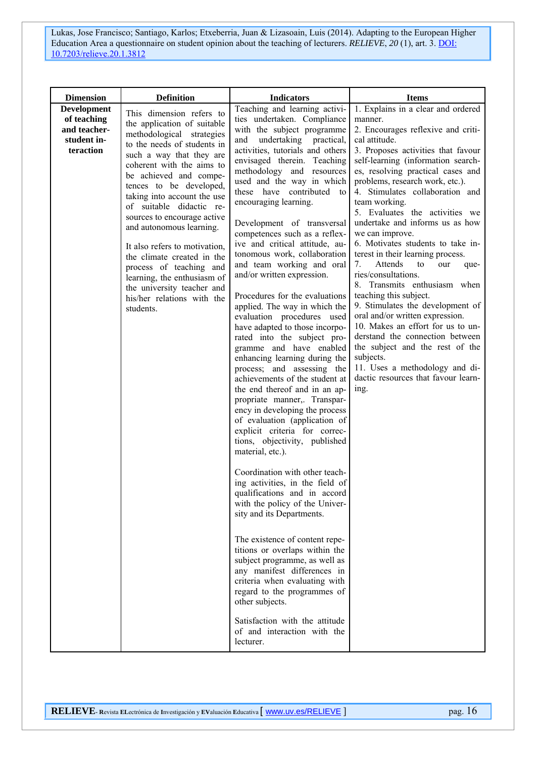| <b>Dimension</b>                                                              | <b>Definition</b>                                                                                                                                                                                                                                                                                                                                                                                                                                                                                                                                         | <b>Indicators</b>                                                                                                                                                                                                                                                                                                                                                                                                                                                                                                                                                                                                                                                                                                                                                                                                                                                                                                                                                                                                                                                                                                                                                                                                                                                                                                                                                                                                                                                                                           | <b>Items</b>                                                                                                                                                                                                                                                                                                                                                                                                                                                                                                                                                                                                                                                                                                                                                                                                                                                                          |
|-------------------------------------------------------------------------------|-----------------------------------------------------------------------------------------------------------------------------------------------------------------------------------------------------------------------------------------------------------------------------------------------------------------------------------------------------------------------------------------------------------------------------------------------------------------------------------------------------------------------------------------------------------|-------------------------------------------------------------------------------------------------------------------------------------------------------------------------------------------------------------------------------------------------------------------------------------------------------------------------------------------------------------------------------------------------------------------------------------------------------------------------------------------------------------------------------------------------------------------------------------------------------------------------------------------------------------------------------------------------------------------------------------------------------------------------------------------------------------------------------------------------------------------------------------------------------------------------------------------------------------------------------------------------------------------------------------------------------------------------------------------------------------------------------------------------------------------------------------------------------------------------------------------------------------------------------------------------------------------------------------------------------------------------------------------------------------------------------------------------------------------------------------------------------------|---------------------------------------------------------------------------------------------------------------------------------------------------------------------------------------------------------------------------------------------------------------------------------------------------------------------------------------------------------------------------------------------------------------------------------------------------------------------------------------------------------------------------------------------------------------------------------------------------------------------------------------------------------------------------------------------------------------------------------------------------------------------------------------------------------------------------------------------------------------------------------------|
| <b>Development</b><br>of teaching<br>and teacher-<br>student in-<br>teraction | This dimension refers to<br>the application of suitable<br>methodological strategies<br>to the needs of students in<br>such a way that they are<br>coherent with the aims to<br>be achieved and compe-<br>tences to be developed,<br>taking into account the use<br>of suitable didactic re-<br>sources to encourage active<br>and autonomous learning.<br>It also refers to motivation,<br>the climate created in the<br>process of teaching and<br>learning, the enthusiasm of<br>the university teacher and<br>his/her relations with the<br>students. | Teaching and learning activi-<br>ties undertaken. Compliance<br>with the subject programme<br>undertaking practical,<br>and<br>activities, tutorials and others<br>envisaged therein. Teaching<br>methodology and resources<br>used and the way in which<br>these have contributed to<br>encouraging learning.<br>Development of transversal<br>competences such as a reflex-<br>ive and critical attitude, au-<br>tonomous work, collaboration<br>and team working and oral<br>and/or written expression.<br>Procedures for the evaluations<br>applied. The way in which the<br>evaluation procedures used<br>have adapted to those incorpo-<br>rated into the subject pro-<br>gramme and have enabled<br>enhancing learning during the<br>process; and assessing the<br>achievements of the student at<br>the end thereof and in an ap-<br>propriate manner,. Transpar-<br>ency in developing the process<br>of evaluation (application of<br>explicit criteria for correc-<br>tions, objectivity, published<br>material, etc.).<br>Coordination with other teach-<br>ing activities, in the field of<br>qualifications and in accord<br>with the policy of the Univer-<br>sity and its Departments.<br>The existence of content repe-<br>titions or overlaps within the<br>subject programme, as well as<br>any manifest differences in<br>criteria when evaluating with<br>regard to the programmes of<br>other subjects.<br>Satisfaction with the attitude<br>of and interaction with the<br>lecturer. | 1. Explains in a clear and ordered<br>manner.<br>2. Encourages reflexive and criti-<br>cal attitude.<br>3. Proposes activities that favour<br>self-learning (information search-<br>es, resolving practical cases and<br>problems, research work, etc.).<br>4. Stimulates collaboration and<br>team working.<br>5. Evaluates the activities we<br>undertake and informs us as how<br>we can improve.<br>6. Motivates students to take in-<br>terest in their learning process.<br>Attends<br>7.<br>to<br>our<br>que-<br>ries/consultations.<br>8. Transmits enthusiasm when<br>teaching this subject.<br>9. Stimulates the development of<br>oral and/or written expression.<br>10. Makes an effort for us to un-<br>derstand the connection between<br>the subject and the rest of the<br>subjects.<br>11. Uses a methodology and di-<br>dactic resources that favour learn-<br>ing. |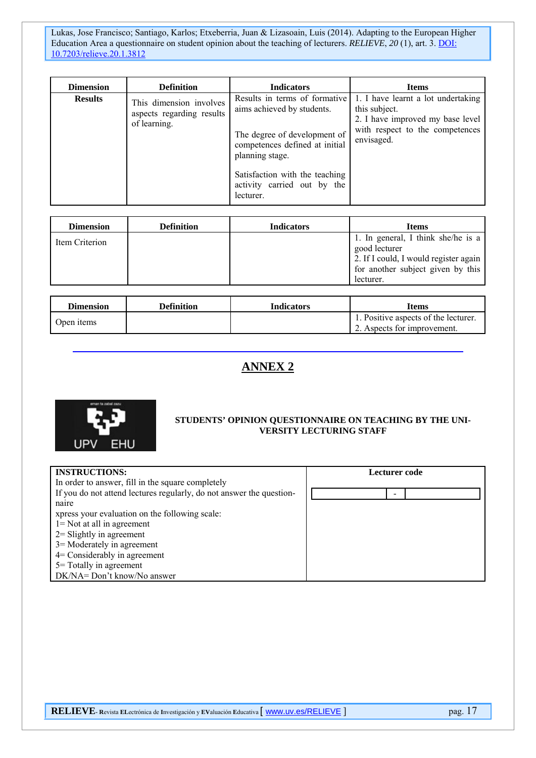| <b>Dimension</b> | <b>Definition</b>                                                    | <b>Indicators</b>                                                                                                                                                                                                              | <b>Items</b>                                                                                                                             |
|------------------|----------------------------------------------------------------------|--------------------------------------------------------------------------------------------------------------------------------------------------------------------------------------------------------------------------------|------------------------------------------------------------------------------------------------------------------------------------------|
| <b>Results</b>   | This dimension involves<br>aspects regarding results<br>of learning. | Results in terms of formative<br>aims achieved by students.<br>The degree of development of<br>competences defined at initial<br>planning stage.<br>Satisfaction with the teaching<br>activity carried out by the<br>lecturer. | 1. I have learnt a lot undertaking<br>this subject.<br>2. I have improved my base level<br>with respect to the competences<br>envisaged. |

| <b>Dimension</b> | <b>Definition</b> | <b>Indicators</b> | Items                                 |
|------------------|-------------------|-------------------|---------------------------------------|
| Item Criterion   |                   |                   | 1. In general, I think she/he is a    |
|                  |                   |                   | good lecturer                         |
|                  |                   |                   | 2. If I could, I would register again |
|                  |                   |                   | for another subject given by this     |
|                  |                   |                   | lecturer.                             |

| <b>Dimension</b> | <b>Definition</b> | Indicators | <b>Items</b>                                                        |
|------------------|-------------------|------------|---------------------------------------------------------------------|
| Open items       |                   |            | 1. Positive aspects of the lecturer.<br>2. Aspects for improvement. |

# **ANNEX 2**



#### **STUDENTS' OPINION QUESTIONNAIRE ON TEACHING BY THE UNI-VERSITY LECTURING STAFF**

| <b>INSTRUCTIONS:</b>                                                 | Lecturer code |
|----------------------------------------------------------------------|---------------|
| In order to answer, fill in the square completely                    |               |
| If you do not attend lectures regularly, do not answer the question- |               |
| naire                                                                |               |
| xpress your evaluation on the following scale:                       |               |
| $1 = Not$ at all in agreement                                        |               |
| $2 =$ Slightly in agreement                                          |               |
| $3$ = Moderately in agreement                                        |               |
| $4$ = Considerably in agreement                                      |               |
| 5 = Totally in agreement                                             |               |
| DK/NA= Don't know/No answer                                          |               |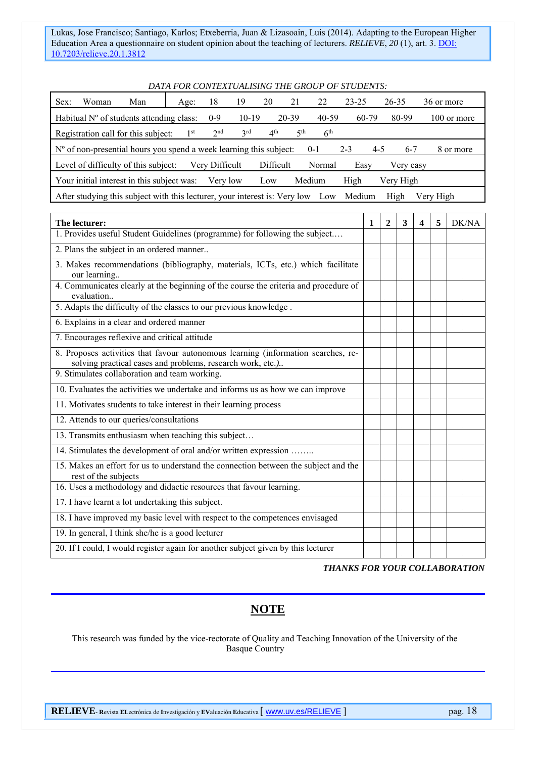#### *DATA FOR CONTEXTUALISING THE GROUP OF STUDENTS:*

| Sex:                                                                                                                        | Woman | Man                                        | Age:            | 18              | 19      | 20              | 21              | 22              | 23-25 | 26-35 | 36 or more  |
|-----------------------------------------------------------------------------------------------------------------------------|-------|--------------------------------------------|-----------------|-----------------|---------|-----------------|-----------------|-----------------|-------|-------|-------------|
|                                                                                                                             |       | Habitual $No$ of students attending class: |                 | $0 - 9$         | $10-19$ |                 | $20 - 39$       | 40-59           | 60-79 | 80-99 | 100 or more |
|                                                                                                                             |       | Registration call for this subject:        | 1 <sup>st</sup> | 2 <sup>nd</sup> | 2rd     | 4 <sup>th</sup> | 5 <sup>th</sup> | 6 <sup>th</sup> |       |       |             |
| $No$ of non-presential hours you spend a week learning this subject:<br>$2 - 3$<br>$6 - 7$<br>$4-5$<br>$0 - 1$<br>8 or more |       |                                            |                 |                 |         |                 |                 |                 |       |       |             |
| Difficult<br>Level of difficulty of this subject:<br>Normal<br>Verv Difficult<br>Easy<br>Very easy                          |       |                                            |                 |                 |         |                 |                 |                 |       |       |             |
| Your initial interest in this subject was:<br>High<br>Medium<br>Very High<br>Verv low<br>Low                                |       |                                            |                 |                 |         |                 |                 |                 |       |       |             |
| After studying this subject with this lecturer, your interest is: Very low<br>High<br>Verv High<br>Medium<br>Low            |       |                                            |                 |                 |         |                 |                 |                 |       |       |             |

| The lecturer:                                                                                                                                   | $\mathbf{1}$ | $\mathbf{2}$ | 3 | 5 | DK/NA |
|-------------------------------------------------------------------------------------------------------------------------------------------------|--------------|--------------|---|---|-------|
| 1. Provides useful Student Guidelines (programme) for following the subject                                                                     |              |              |   |   |       |
| 2. Plans the subject in an ordered manner                                                                                                       |              |              |   |   |       |
| 3. Makes recommendations (bibliography, materials, ICTs, etc.) which facilitate<br>our learning                                                 |              |              |   |   |       |
| 4. Communicates clearly at the beginning of the course the criteria and procedure of<br>evaluation                                              |              |              |   |   |       |
| 5. Adapts the difficulty of the classes to our previous knowledge.                                                                              |              |              |   |   |       |
| 6. Explains in a clear and ordered manner                                                                                                       |              |              |   |   |       |
| 7. Encourages reflexive and critical attitude                                                                                                   |              |              |   |   |       |
| 8. Proposes activities that favour autonomous learning (information searches, re-<br>solving practical cases and problems, research work, etc.) |              |              |   |   |       |
| 9. Stimulates collaboration and team working.                                                                                                   |              |              |   |   |       |
| 10. Evaluates the activities we undertake and informs us as how we can improve                                                                  |              |              |   |   |       |
| 11. Motivates students to take interest in their learning process                                                                               |              |              |   |   |       |
| 12. Attends to our queries/consultations                                                                                                        |              |              |   |   |       |
| 13. Transmits enthusiasm when teaching this subject                                                                                             |              |              |   |   |       |
| 14. Stimulates the development of oral and/or written expression                                                                                |              |              |   |   |       |
| 15. Makes an effort for us to understand the connection between the subject and the<br>rest of the subjects                                     |              |              |   |   |       |
| 16. Uses a methodology and didactic resources that favour learning.                                                                             |              |              |   |   |       |
| 17. I have learnt a lot undertaking this subject.                                                                                               |              |              |   |   |       |
| 18. I have improved my basic level with respect to the competences envisaged                                                                    |              |              |   |   |       |
| 19. In general, I think she/he is a good lecturer                                                                                               |              |              |   |   |       |
| 20. If I could, I would register again for another subject given by this lecturer                                                               |              |              |   |   |       |

*THANKS FOR YOUR COLLABORATION* 

# **NOTE**

This research was funded by the vice-rectorate of Quality and Teaching Innovation of the University of the Basque Country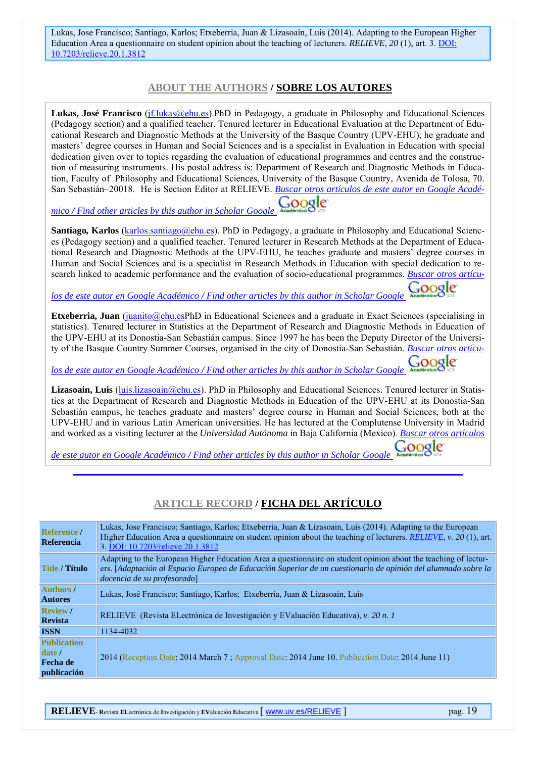#### **ABOUT THE AUTHORS / SOBRE LOS AUTORES**

Lukas, José Francisco (*jf.lukas@ehu.es*).PhD in Pedagogy, a graduate in Philosophy and Educational Sciences (Pedagogy section) and a qualified teacher. Tenured lecturer in Educational Evaluation at the Department of Educational Research and Diagnostic Methods at the University of the Basque Country (UPV-EHU), he graduate and masters' degree courses in Human and Social Sciences and is a specialist in Evaluation in Education with special dedication given over to topics regarding the evaluation of educational programmes and centres and the construction of measuring instruments. His postal address is: Department of Research and Diagnostic Methods in Education, Faculty of Philosophy and Educational Sciences, University of the Basque Country, Avenida de Tolosa, 70. San Sebastián–20018. He is Section Editor at RELIEVE. *Buscar otros artículos de este autor en Google Acadé-*

Google *mico / Find other articles by this author in Scholar Google* 

**Santiago**, **Karlos** (karlos.santiago@ehu.es). PhD in Pedagogy, a graduate in Philosophy and Educational Sciences (Pedagogy section) and a qualified teacher. Tenured lecturer in Research Methods at the Department of Educational Research and Diagnostic Methods at the UPV-EHU, he teaches graduate and masters' degree courses in Human and Social Sciences and is a specialist in Research Methods in Education with special dedication to research linked to academic performance and the evaluation of socio-educational programmes. *Buscar otros artícu-*

္မဝဝဝ *los de este autor en Google Académico / Find other articles by this author in Scholar Google* 

**Etxeberria, Juan** (juanito@ehu.esPhD in Educational Sciences and a graduate in Exact Sciences (specialising in statistics). Tenured lecturer in Statistics at the Department of Research and Diagnostic Methods in Education of the UPV-EHU at its Donostia-San Sebastián campus. Since 1997 he has been the Deputy Director of the University of the Basque Country Summer Courses, organised in the city of Donostia-San Sebastián. *Buscar otros artícu-*

ೊಂಠೕ *los de este autor en Google Académico / Find other articles by this author in Scholar Google* 

Lizasoain, Luis *(luis.lizasoain@ehu.es)*. PhD in Philosophy and Educational Sciences. Tenured lecturer in Statistics at the Department of Research and Diagnostic Methods in Education of the UPV-EHU at its Donostia-San Sebastián campus, he teaches graduate and masters' degree course in Human and Social Sciences, both at the UPV-EHU and in various Latin American universities. He has lectured at the Complutense University in Madrid and worked as a visiting lecturer at the *Universidad Autónoma* in Baja California (Mexico). *Buscar otros artículos* 

*de este autor en Google Académico / Find other articles by this author in Scholar Google* 

### **ARTICLE RECORD / FICHA DEL ARTÍCULO**

| Reference /<br>Referencia          | Lukas, Jose Francisco; Santiago, Karlos; Etxeberria, Juan & Lizasoain, Luis (2014). Adapting to the European<br>Higher Education Area a questionnaire on student opinion about the teaching of lecturers. <i>RELIEVE</i> , v. 20(1), art.<br>3. DOI: 10.7203/relieve.20.1.3812 |  |  |  |  |
|------------------------------------|--------------------------------------------------------------------------------------------------------------------------------------------------------------------------------------------------------------------------------------------------------------------------------|--|--|--|--|
| <b>Title / Título</b>              | Adapting to the European Higher Education Area a questionnaire on student opinion about the teaching of lectur-<br>ers. [Adaptación al Espacio Europeo de Educación Superior de un cuestionario de opinión del alumnado sobre la<br>docencia de su profesorado                 |  |  |  |  |
| <b>Authors</b> /<br><b>Autores</b> | Lukas, José Francisco; Santiago, Karlos; Etxeberria, Juan & Lizasoain, Luis                                                                                                                                                                                                    |  |  |  |  |
| <b>Review</b> /<br><b>Revista</b>  | RELIEVE (Revista ELectrónica de Investigación y EValuación Educativa), v. 20 n. 1                                                                                                                                                                                              |  |  |  |  |
| <b>ISSN</b>                        | 1134-4032                                                                                                                                                                                                                                                                      |  |  |  |  |
| <b>Publication</b>                 |                                                                                                                                                                                                                                                                                |  |  |  |  |
| $\vert$ date $\vert$               | 2014 (Reception Date: 2014 March 7; Approval Date: 2014 June 10, Publication Date: 2014 June 11)                                                                                                                                                                               |  |  |  |  |
| <b>Fecha</b> de                    |                                                                                                                                                                                                                                                                                |  |  |  |  |
| publicación                        |                                                                                                                                                                                                                                                                                |  |  |  |  |

**RELIEVE- R**evista **EL**ectrónica de **I**nvestigación y **EV**aluación **E**ducativa [ www.uv.es/RELIEVE ] pag. 19